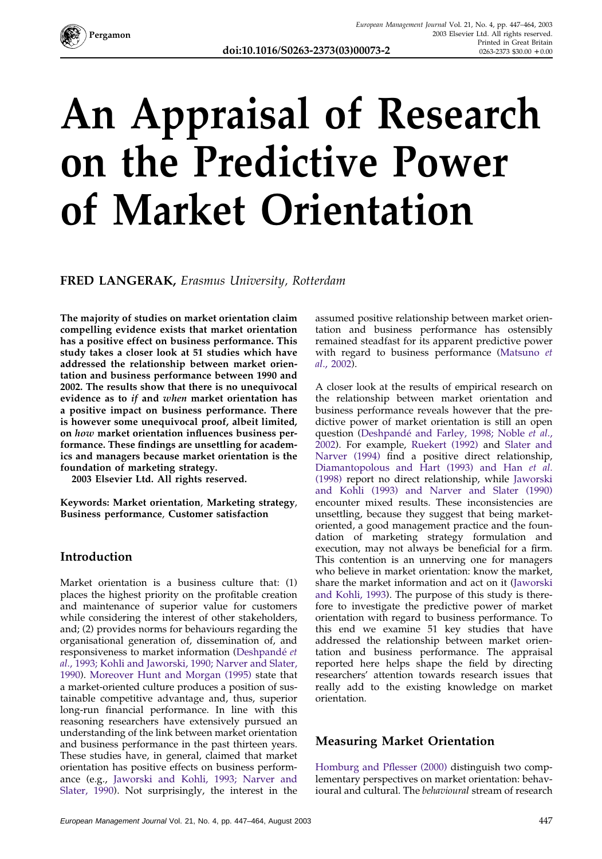

# **An Appraisal of Research on the Predictive Power of Market Orientation**

**FRED LANGERAK,** *Erasmus University, Rotterdam*

**The majority of studies on market orientation claim compelling evidence exists that market orientation has a positive effect on business performance. This study takes a closer look at 51 studies which have addressed the relationship between market orientation and business performance between 1990 and 2002. The results show that there is no unequivocal evidence as to** *if* **and** *when* **market orientation has a positive impact on business performance. There is however some unequivocal proof, albeit limited, on** *how* **market orientation influences business performance. These findings are unsettling for academics and managers because market orientation is the foundation of marketing strategy.**

**2003 Elsevier Ltd. All rights reserved.**

**Keywords: Market orientation**, **Marketing strategy**, **Business performance**, **Customer satisfaction**

### **Introduction**

Market orientation is a business culture that: (1) places the highest priority on the profitable creation and maintenance of superior value for customers while considering the interest of other stakeholders, and; (2) provides norms for behaviours regarding the organisational generation of, dissemination of, and responsiveness to market information [\(Deshpande´](#page--1-0) *et al*[., 1993; Kohli and Jaworski, 1990; Narver and Slater,](#page--1-0) [1990\)](#page--1-0). [Moreover Hunt and Morgan \(1995\)](#page--1-0) state that a market-oriented culture produces a position of sustainable competitive advantage and, thus, superior long-run financial performance. In line with this reasoning researchers have extensively pursued an understanding of the link between market orientation and business performance in the past thirteen years. These studies have, in general, claimed that market orientation has positive effects on business performance (e.g., [Jaworski and Kohli, 1993; Narver and](#page--1-0) [Slater, 1990\)](#page--1-0). Not surprisingly, the interest in the

assumed positive relationship between market orientation and business performance has ostensibly remained steadfast for its apparent predictive power with regard to business performance [\(Matsuno](#page--1-0) *et al*[., 2002\)](#page--1-0).

A closer look at the results of empirical research on the relationship between market orientation and business performance reveals however that the predictive power of market orientation is still an open question (Deshpande´ [and Farley, 1998; Noble](#page--1-0) *et al*., [2002\)](#page--1-0). For example, [Ruekert \(1992\)](#page--1-0) and [Slater and](#page--1-0) [Narver \(1994\)](#page--1-0) find a positive direct relationship, [Diamantopolous and Hart \(1993\) and Han](#page--1-0) *et al*. [\(1998\)](#page--1-0) report no direct relationship, while [Jaworski](#page--1-0) [and Kohli \(1993\) and Narver and Slater \(1990\)](#page--1-0) encounter mixed results. These inconsistencies are unsettling, because they suggest that being marketoriented, a good management practice and the foundation of marketing strategy formulation and execution, may not always be beneficial for a firm. This contention is an unnerving one for managers who believe in market orientation: know the market, share the market information and act on it [\(Jaworski](#page--1-0) [and Kohli, 1993\)](#page--1-0). The purpose of this study is therefore to investigate the predictive power of market orientation with regard to business performance. To this end we examine 51 key studies that have addressed the relationship between market orientation and business performance. The appraisal reported here helps shape the field by directing researchers' attention towards research issues that really add to the existing knowledge on market orientation.

### **Measuring Market Orientation**

[Homburg and Pflesser \(2000\)](#page--1-0) distinguish two complementary perspectives on market orientation: behavioural and cultural. The *behavioural* stream of research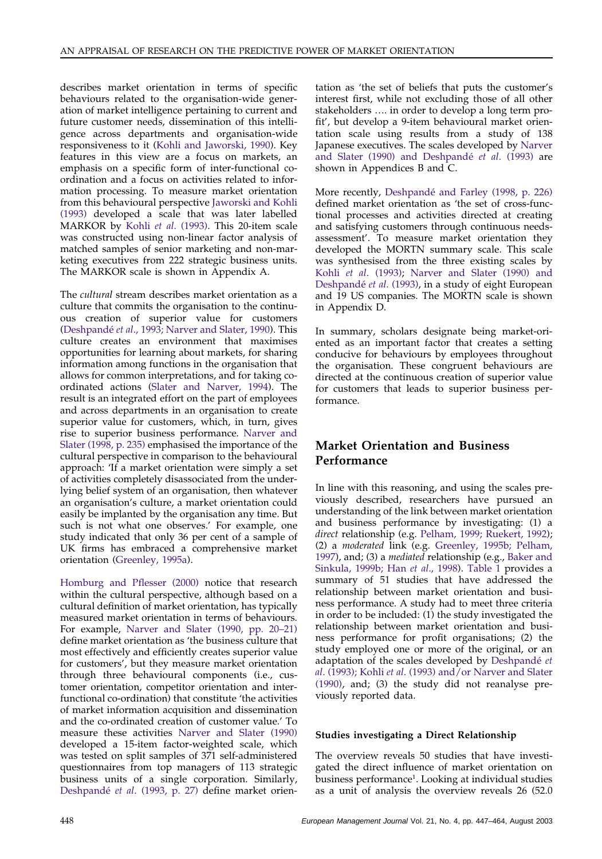describes market orientation in terms of specific behaviours related to the organisation-wide generation of market intelligence pertaining to current and future customer needs, dissemination of this intelligence across departments and organisation-wide responsiveness to it [\(Kohli and Jaworski, 1990\)](#page--1-0). Key features in this view are a focus on markets, an emphasis on a specific form of inter-functional coordination and a focus on activities related to information processing. To measure market orientation from this behavioural perspective [Jaworski and Kohli](#page--1-0) [\(1993\)](#page--1-0) developed a scale that was later labelled MARKOR by Kohli *et al*[. \(1993\).](#page--1-0) This 20-item scale was constructed using non-linear factor analysis of matched samples of senior marketing and non-marketing executives from 222 strategic business units. The MARKOR scale is shown in Appendix A.

The *cultural* stream describes market orientation as a culture that commits the organisation to the continuous creation of superior value for customers (Deshpandé et al[., 1993; Narver and Slater, 1990\)](#page--1-0). This culture creates an environment that maximises opportunities for learning about markets, for sharing information among functions in the organisation that allows for common interpretations, and for taking coordinated actions [\(Slater and Narver, 1994\)](#page--1-0). The result is an integrated effort on the part of employees and across departments in an organisation to create superior value for customers, which, in turn, gives rise to superior business performance. [Narver and](#page--1-0) [Slater \(1998, p. 235\)](#page--1-0) emphasised the importance of the cultural perspective in comparison to the behavioural approach: 'If a market orientation were simply a set of activities completely disassociated from the underlying belief system of an organisation, then whatever an organisation's culture, a market orientation could easily be implanted by the organisation any time. But such is not what one observes.' For example, one study indicated that only 36 per cent of a sample of UK firms has embraced a comprehensive market orientation [\(Greenley, 1995a\)](#page--1-0).

[Homburg and Pflesser \(2000\)](#page--1-0) notice that research within the cultural perspective, although based on a cultural definition of market orientation, has typically measured market orientation in terms of behaviours. For example, [Narver and Slater \(1990, pp. 20–21\)](#page--1-0) define market orientation as 'the business culture that most effectively and efficiently creates superior value for customers', but they measure market orientation through three behavioural components (i.e., customer orientation, competitor orientation and interfunctional co-ordination) that constitute 'the activities of market information acquisition and dissemination and the co-ordinated creation of customer value.' To measure these activities [Narver and Slater \(1990\)](#page--1-0) developed a 15-item factor-weighted scale, which was tested on split samples of 371 self-administered questionnaires from top managers of 113 strategic business units of a single corporation. Similarly, Deshpandé *et al.* (1993, p. 27) define market orientation as 'the set of beliefs that puts the customer's interest first, while not excluding those of all other stakeholders …. in order to develop a long term profit', but develop a 9-item behavioural market orientation scale using results from a study of 138 Japanese executives. The scales developed by [Narver](#page--1-0) and Slater (1990) and Deshpandé *et al.* (1993) are shown in Appendices B and C.

More recently, Deshpandé [and Farley \(1998, p. 226\)](#page--1-0) defined market orientation as 'the set of cross-functional processes and activities directed at creating and satisfying customers through continuous needsassessment'. To measure market orientation they developed the MORTN summary scale. This scale was synthesised from the three existing scales by Kohli *et al*[. \(1993\);](#page--1-0) [Narver and Slater \(1990\) and](#page--1-0) Deshpandé et al. (1993), in a study of eight European and 19 US companies. The MORTN scale is shown in Appendix D.

In summary, scholars designate being market-oriented as an important factor that creates a setting conducive for behaviours by employees throughout the organisation. These congruent behaviours are directed at the continuous creation of superior value for customers that leads to superior business performance.

### **Market Orientation and Business Performance**

In line with this reasoning, and using the scales previously described, researchers have pursued an understanding of the link between market orientation and business performance by investigating: (1) a *direct* relationship (e.g. [Pelham, 1999; Ruekert, 1992\)](#page--1-0); (2) a *moderated* link (e.g. [Greenley, 1995b; Pelham,](#page--1-0) [1997\)](#page--1-0), and; (3) a *mediated* relationship (e.g., [Baker and](#page--1-0) [Sinkula, 1999b; Han](#page--1-0) *et al*., 1998). [Table 1](#page--1-0) provides a summary of 51 studies that have addressed the relationship between market orientation and business performance. A study had to meet three criteria in order to be included: (1) the study investigated the relationship between market orientation and business performance for profit organisations; (2) the study employed one or more of the original, or an adaptation of the scales developed by Deshpandé et *al*. (1993); Kohli *et al*[. \(1993\) and/or Narver and Slater](#page--1-0) [\(1990\),](#page--1-0) and; (3) the study did not reanalyse previously reported data.

#### **Studies investigating a Direct Relationship**

The overview reveals 50 studies that have investigated the direct influence of market orientation on business performance<sup>1</sup>. Looking at individual studies as a unit of analysis the overview reveals 26 (52.0